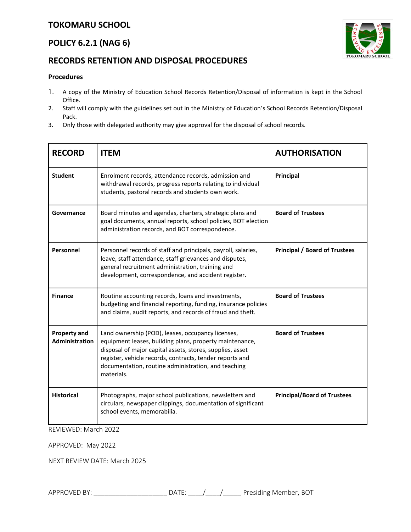# **TOKOMARU SCHOOL**

## **POLICY 6.2.1 (NAG 6)**

### **RECORDS RETENTION AND DISPOSAL PROCEDURES**

#### **Procedures**

- 1. A copy of the Ministry of Education School Records Retention/Disposal of information is kept in the School Office.
- 2. Staff will comply with the guidelines set out in the Ministry of Education's School Records Retention/Disposal Pack.
- 3. Only those with delegated authority may give approval for the disposal of school records.

| <b>RECORD</b>                         | <b>ITEM</b>                                                                                                                                                                                                                                                                                                | <b>AUTHORISATION</b>                 |
|---------------------------------------|------------------------------------------------------------------------------------------------------------------------------------------------------------------------------------------------------------------------------------------------------------------------------------------------------------|--------------------------------------|
| <b>Student</b>                        | Enrolment records, attendance records, admission and<br>withdrawal records, progress reports relating to individual<br>students, pastoral records and students own work.                                                                                                                                   | Principal                            |
| Governance                            | Board minutes and agendas, charters, strategic plans and<br>goal documents, annual reports, school policies, BOT election<br>administration records, and BOT correspondence.                                                                                                                               | <b>Board of Trustees</b>             |
| Personnel                             | Personnel records of staff and principals, payroll, salaries,<br>leave, staff attendance, staff grievances and disputes,<br>general recruitment administration, training and<br>development, correspondence, and accident register.                                                                        | <b>Principal / Board of Trustees</b> |
| <b>Finance</b>                        | Routine accounting records, loans and investments,<br>budgeting and financial reporting, funding, insurance policies<br>and claims, audit reports, and records of fraud and theft.                                                                                                                         | <b>Board of Trustees</b>             |
| <b>Property and</b><br>Administration | Land ownership (POD), leases, occupancy licenses,<br>equipment leases, building plans, property maintenance,<br>disposal of major capital assets, stores, supplies, asset<br>register, vehicle records, contracts, tender reports and<br>documentation, routine administration, and teaching<br>materials. | <b>Board of Trustees</b>             |
| <b>Historical</b>                     | Photographs, major school publications, newsletters and<br>circulars, newspaper clippings, documentation of significant<br>school events, memorabilia.                                                                                                                                                     | <b>Principal/Board of Trustees</b>   |

REVIEWED: March 2022

APPROVED: May 2022

NEXT REVIEW DATE: March 2025



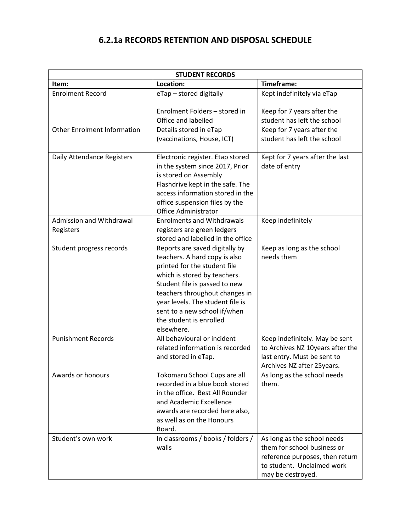# **6.2.1a RECORDS RETENTION AND DISPOSAL SCHEDULE**

| <b>STUDENT RECORDS</b>                |                                                                                                                                                                                                                                                                                                                 |                                                                                                                                                  |  |  |
|---------------------------------------|-----------------------------------------------------------------------------------------------------------------------------------------------------------------------------------------------------------------------------------------------------------------------------------------------------------------|--------------------------------------------------------------------------------------------------------------------------------------------------|--|--|
| Item:                                 | Location:                                                                                                                                                                                                                                                                                                       | Timeframe:                                                                                                                                       |  |  |
| <b>Enrolment Record</b>               | eTap - stored digitally                                                                                                                                                                                                                                                                                         | Kept indefinitely via eTap                                                                                                                       |  |  |
|                                       | Enrolment Folders - stored in<br>Office and labelled                                                                                                                                                                                                                                                            | Keep for 7 years after the<br>student has left the school                                                                                        |  |  |
| <b>Other Enrolment Information</b>    | Details stored in eTap<br>(vaccinations, House, ICT)                                                                                                                                                                                                                                                            | Keep for 7 years after the<br>student has left the school                                                                                        |  |  |
| Daily Attendance Registers            | Electronic register. Etap stored<br>in the system since 2017, Prior<br>is stored on Assembly<br>Flashdrive kept in the safe. The<br>access information stored in the<br>office suspension files by the<br><b>Office Administrator</b>                                                                           | Kept for 7 years after the last<br>date of entry                                                                                                 |  |  |
| Admission and Withdrawal<br>Registers | <b>Enrolments and Withdrawals</b><br>registers are green ledgers<br>stored and labelled in the office                                                                                                                                                                                                           | Keep indefinitely                                                                                                                                |  |  |
| Student progress records              | Reports are saved digitally by<br>teachers. A hard copy is also<br>printed for the student file<br>which is stored by teachers.<br>Student file is passed to new<br>teachers throughout changes in<br>year levels. The student file is<br>sent to a new school if/when<br>the student is enrolled<br>elsewhere. | Keep as long as the school<br>needs them                                                                                                         |  |  |
| <b>Punishment Records</b>             | All behavioural or incident<br>related information is recorded<br>and stored in eTap.                                                                                                                                                                                                                           | Keep indefinitely. May be sent<br>to Archives NZ 10years after the<br>last entry. Must be sent to<br>Archives NZ after 25years.                  |  |  |
| Awards or honours                     | Tokomaru School Cups are all<br>recorded in a blue book stored<br>in the office. Best All Rounder<br>and Academic Excellence<br>awards are recorded here also,<br>as well as on the Honours<br>Board.                                                                                                           | As long as the school needs<br>them.                                                                                                             |  |  |
| Student's own work                    | In classrooms / books / folders /<br>walls                                                                                                                                                                                                                                                                      | As long as the school needs<br>them for school business or<br>reference purposes, then return<br>to student. Unclaimed work<br>may be destroyed. |  |  |